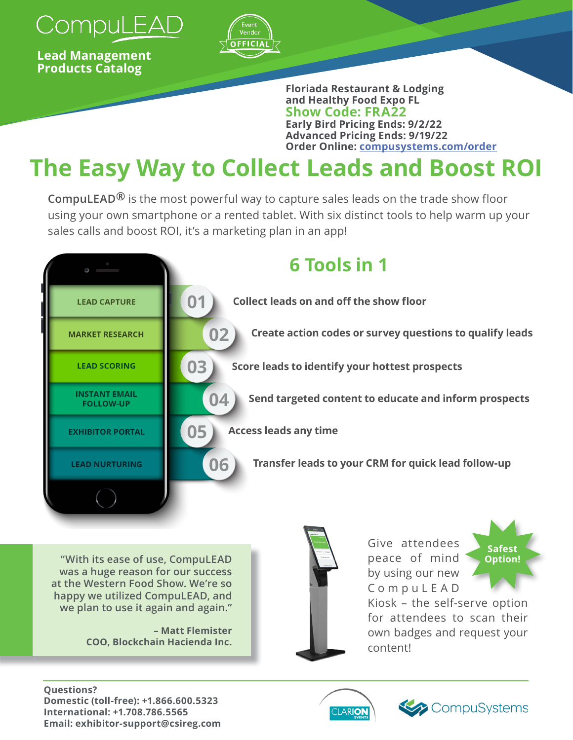

**Lead Management Products Catalog** 



**Floriada Restaurant & Lodging and Healthy Food Expo FL Show Code: FRA22 Early Bird Pricing Ends: 9/2/22 Advanced Pricing Ends: 9/19/22 Order Online: [compusystems.com/order](https://www.compusystems.com/order/?e=FRA22)**

# **The Easy Way to Collect Leads and Boost ROI**

**CompuLEAD®** is the most powerful way to capture sales leads on the trade show floor using your own smartphone or a rented tablet. With six distinct tools to help warm up your sales calls and boost ROI, it's a marketing plan in an app!

|                                          | <b>6 Tools in 1</b>                                            |
|------------------------------------------|----------------------------------------------------------------|
| <b>LEAD CAPTURE</b>                      | 01<br><b>Collect leads on and off the show floor</b>           |
| <b>MARKET RESEARCH</b>                   | 02<br>Create action codes or survey questions to qualify leads |
| <b>LEAD SCORING</b>                      | 03<br>Score leads to identify your hottest prospects           |
| <b>INSTANT EMAIL</b><br><b>FOLLOW-UP</b> | 04<br>Send targeted content to educate and inform prospects    |
| <b>EXHIBITOR PORTAL</b>                  | 05<br><b>Access leads any time</b>                             |
| <b>LEAD NURTURING</b>                    | 06<br>Transfer leads to your CRM for quick lead follow-up      |
|                                          |                                                                |

**"With its ease of use, CompuLEAD was a huge reason for our success at the Western Food Show. We're so happy we utilized CompuLEAD, and we plan to use it again and again."**

> **– Matt Flemister COO, Blockchain Hacienda Inc.**



Give attendees peace of mind by using our new C o m p u L E A D



Kiosk – the self-serve option for attendees to scan their own badges and request your content!

#### **Questions? Domestic (toll-free): +1.866.600.5323 International: +1.708.786.5565 Email: exhibitor-support@csireg.com**



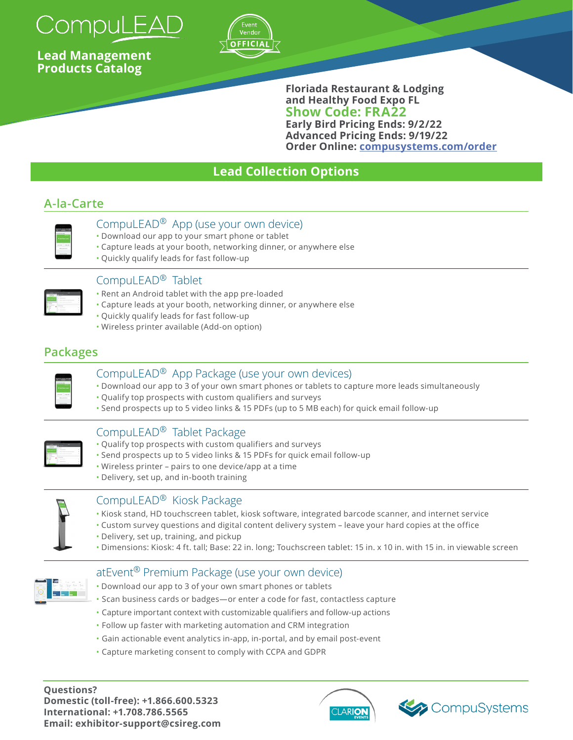

**Lead Management Products Catalog** 



**Floriada Restaurant & Lodging and Healthy Food Expo FL Show Code: FRA22 Early Bird Pricing Ends: 9/2/22 Advanced Pricing Ends: 9/19/22 Order Online: [compusystems.com/order](https://www.compusystems.com/order/?e=FRA22)**

# **Lead Collection Options**

# **A-la-Carte**



# CompuLEAD® App (use your own device)

- Download our app to your smart phone or tablet
- Capture leads at your booth, networking dinner, or anywhere else
- Quickly qualify leads for fast follow-up

| --- |                               |  |
|-----|-------------------------------|--|
|     | $\overline{a}$                |  |
| ï   |                               |  |
|     | ٠                             |  |
|     | a wanda wa<br>٠<br>Villa<br>٠ |  |
|     |                               |  |
|     | <b>A MARINE</b>               |  |
|     | ٠<br>$\sim$<br>---            |  |
|     | ------<br>٠                   |  |
|     | ٠                             |  |

#### CompuLEAD® Tablet

- Rent an Android tablet with the app pre-loaded
- Capture leads at your booth, networking dinner, or anywhere else
- Quickly qualify leads for fast follow-up
- Wireless printer available (Add-on option)

# **Packages**

| Ala San Wil |  |
|-------------|--|
|             |  |
|             |  |
|             |  |
|             |  |
|             |  |
|             |  |
|             |  |

#### CompuLEAD® App Package (use your own devices)

- Download our app to 3 of your own smart phones or tablets to capture more leads simultaneously
- Qualify top prospects with custom qualifiers and surveys
- Send prospects up to 5 video links & 15 PDFs (up to 5 MB each) for quick email follow-up

#### CompuLEAD® Tablet Package

- Qualify top prospects with custom qualifiers and surveys
- Send prospects up to 5 video links & 15 PDFs for quick email follow-up
- Wireless printer pairs to one device/app at a time
- Delivery, set up, and in-booth training

#### CompuLEAD® Kiosk Package

- Kiosk stand, HD touchscreen tablet, kiosk software, integrated barcode scanner, and internet service
- Custom survey questions and digital content delivery system leave your hard copies at the office
- Delivery, set up, training, and pickup
- Dimensions: Kiosk: 4 ft. tall; Base: 22 in. long; Touchscreen tablet: 15 in. x 10 in. with 15 in. in viewable screen

# atEvent® Premium Package (use your own device)

- Download our app to 3 of your own smart phones or tablets
- Scan business cards or badges—or enter a code for fast, contactless capture
- Capture important context with customizable qualifiers and follow-up actions
- Follow up faster with marketing automation and CRM integration
- Gain actionable event analytics in-app, in-portal, and by email post-event
- Capture marketing consent to comply with CCPA and GDPR

**Questions? Domestic (toll-free): +1.866.600.5323 International: +1.708.786.5565 Email: exhibitor-support@csireg.com**